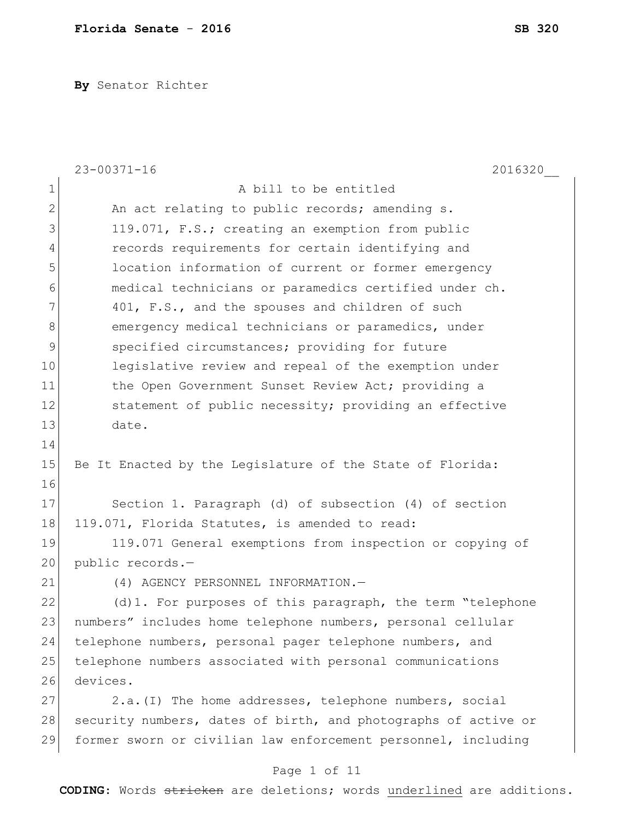**By** Senator Richter

|               | $23 - 00371 - 16$<br>2016320                                   |
|---------------|----------------------------------------------------------------|
| 1             | A bill to be entitled                                          |
| $\mathbf{2}$  | An act relating to public records; amending s.                 |
| 3             | 119.071, F.S.; creating an exemption from public               |
| 4             | records requirements for certain identifying and               |
| 5             | location information of current or former emergency            |
| 6             | medical technicians or paramedics certified under ch.          |
| 7             | 401, F.S., and the spouses and children of such                |
| 8             | emergency medical technicians or paramedics, under             |
| $\mathcal{G}$ | specified circumstances; providing for future                  |
| 10            | legislative review and repeal of the exemption under           |
| 11            | the Open Government Sunset Review Act; providing a             |
| 12            | statement of public necessity; providing an effective          |
| 13            | date.                                                          |
| 14            |                                                                |
| 15            | Be It Enacted by the Legislature of the State of Florida:      |
| 16            |                                                                |
| 17            | Section 1. Paragraph (d) of subsection (4) of section          |
| 18            | 119.071, Florida Statutes, is amended to read:                 |
| 19            | 119.071 General exemptions from inspection or copying of       |
| 20            | public records.-                                               |
| 21            | (4) AGENCY PERSONNEL INFORMATION.-                             |
| 22            | (d)1. For purposes of this paragraph, the term "telephone      |
| 23            | numbers" includes home telephone numbers, personal cellular    |
| 24            | telephone numbers, personal pager telephone numbers, and       |
| 25            | telephone numbers associated with personal communications      |
| 26            | devices.                                                       |
| 27            | 2.a. (I) The home addresses, telephone numbers, social         |
| 28            | security numbers, dates of birth, and photographs of active or |
| 29            | former sworn or civilian law enforcement personnel, including  |
|               | Page 1 of 11                                                   |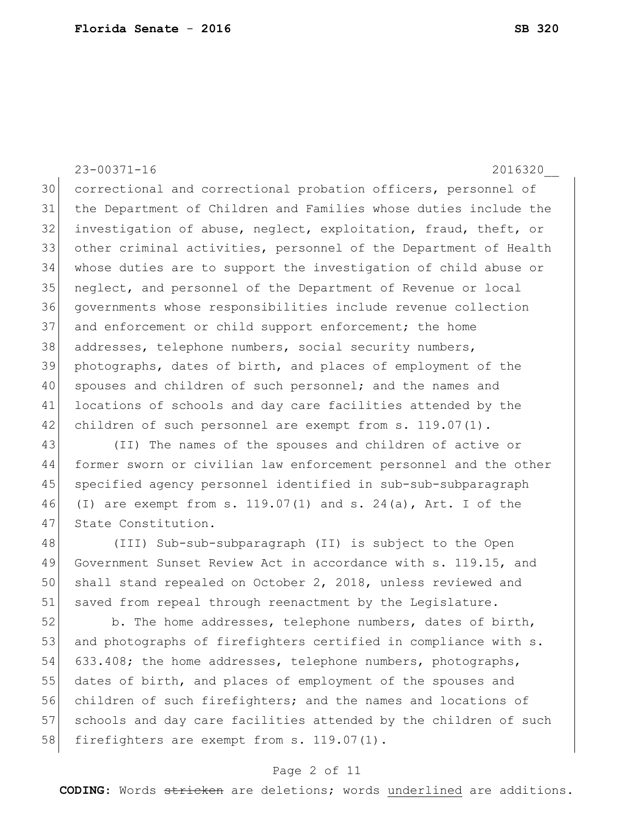23-00371-16 2016320\_\_ correctional and correctional probation officers, personnel of the Department of Children and Families whose duties include the investigation of abuse, neglect, exploitation, fraud, theft, or other criminal activities, personnel of the Department of Health whose duties are to support the investigation of child abuse or neglect, and personnel of the Department of Revenue or local governments whose responsibilities include revenue collection 37 and enforcement or child support enforcement; the home addresses, telephone numbers, social security numbers, photographs, dates of birth, and places of employment of the 40 spouses and children of such personnel; and the names and locations of schools and day care facilities attended by the 42 children of such personnel are exempt from s. 119.07(1).

43 (II) The names of the spouses and children of active or 44 former sworn or civilian law enforcement personnel and the other 45 specified agency personnel identified in sub-sub-subparagraph 46 (I) are exempt from s. 119.07(1) and s. 24(a), Art. I of the 47 State Constitution.

48 (III) Sub-sub-subparagraph (II) is subject to the Open 49 Government Sunset Review Act in accordance with s. 119.15, and 50 shall stand repealed on October 2, 2018, unless reviewed and 51 saved from repeal through reenactment by the Legislature.

 $52$  b. The home addresses, telephone numbers, dates of birth, 53 and photographs of firefighters certified in compliance with s. 54 633.408; the home addresses, telephone numbers, photographs, 55 dates of birth, and places of employment of the spouses and 56 children of such firefighters; and the names and locations of 57 schools and day care facilities attended by the children of such 58 firefighters are exempt from s. 119.07(1).

# Page 2 of 11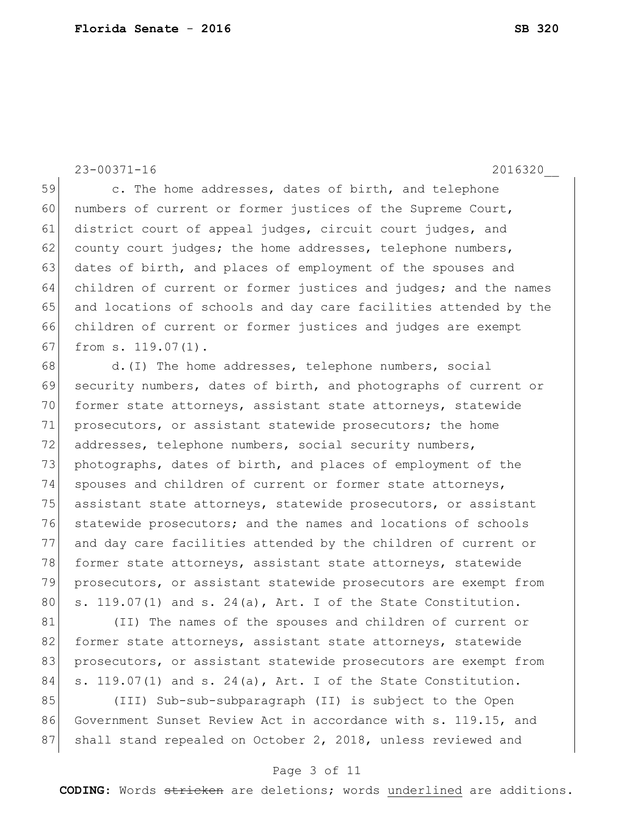23-00371-16 2016320\_\_

59 c. The home addresses, dates of birth, and telephone 60 numbers of current or former justices of the Supreme Court, 61 district court of appeal judges, circuit court judges, and  $62$  county court judges; the home addresses, telephone numbers, 63 dates of birth, and places of employment of the spouses and 64 children of current or former justices and judges; and the names 65 and locations of schools and day care facilities attended by the 66 children of current or former justices and judges are exempt 67 from s. 119.07(1).

68 d.(I) The home addresses, telephone numbers, social 69 security numbers, dates of birth, and photographs of current or 70 former state attorneys, assistant state attorneys, statewide 71 prosecutors, or assistant statewide prosecutors; the home 72 addresses, telephone numbers, social security numbers, 73 photographs, dates of birth, and places of employment of the 74 spouses and children of current or former state attorneys, 75 assistant state attorneys, statewide prosecutors, or assistant 76 statewide prosecutors; and the names and locations of schools 77 and day care facilities attended by the children of current or 78 former state attorneys, assistant state attorneys, statewide 79 prosecutors, or assistant statewide prosecutors are exempt from 80  $\vert$  s. 119.07(1) and s. 24(a), Art. I of the State Constitution.

81 (II) The names of the spouses and children of current or 82 former state attorneys, assistant state attorneys, statewide 83 | prosecutors, or assistant statewide prosecutors are exempt from 84 s. 119.07(1) and s. 24(a), Art. I of the State Constitution.

85 (III) Sub-sub-subparagraph (II) is subject to the Open 86 Government Sunset Review Act in accordance with s. 119.15, and 87 Shall stand repealed on October 2, 2018, unless reviewed and

# Page 3 of 11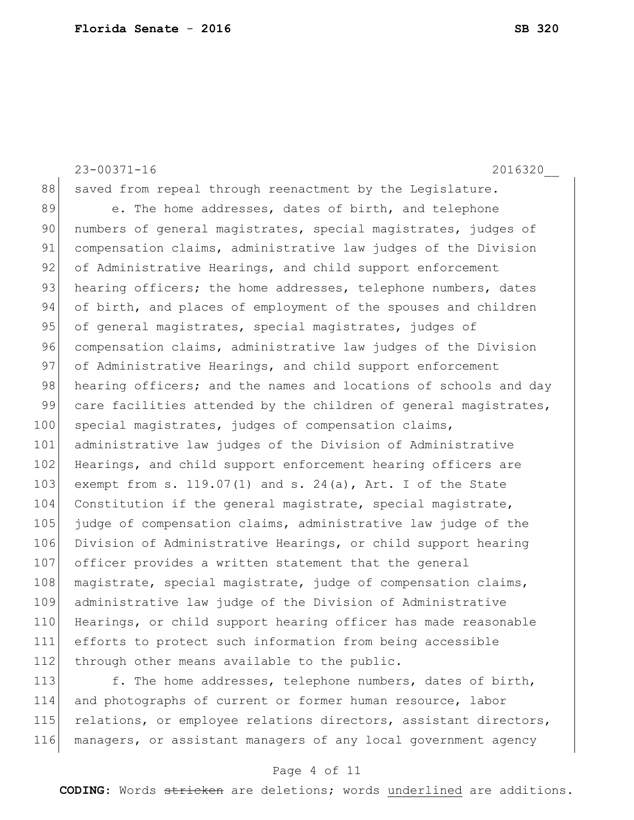23-00371-16 2016320\_\_ 88 saved from repeal through reenactment by the Legislature. 89 e. The home addresses, dates of birth, and telephone 90 numbers of general magistrates, special magistrates, judges of 91 compensation claims, administrative law judges of the Division 92 of Administrative Hearings, and child support enforcement 93 hearing officers; the home addresses, telephone numbers, dates 94 of birth, and places of employment of the spouses and children 95 of general magistrates, special magistrates, judges of 96 compensation claims, administrative law judges of the Division 97 of Administrative Hearings, and child support enforcement 98 hearing officers; and the names and locations of schools and day 99 care facilities attended by the children of general magistrates, 100 special magistrates, judges of compensation claims, 101 administrative law judges of the Division of Administrative 102 Hearings, and child support enforcement hearing officers are 103 exempt from s. 119.07(1) and s. 24(a), Art. I of the State 104 Constitution if the general magistrate, special magistrate, 105 judge of compensation claims, administrative law judge of the 106 Division of Administrative Hearings, or child support hearing 107 officer provides a written statement that the general 108 magistrate, special magistrate, judge of compensation claims, 109 administrative law judge of the Division of Administrative 110 Hearings, or child support hearing officer has made reasonable 111 efforts to protect such information from being accessible 112 through other means available to the public. 113 f. The home addresses, telephone numbers, dates of birth,

114 and photographs of current or former human resource, labor 115 relations, or employee relations directors, assistant directors, 116 managers, or assistant managers of any local government agency

# Page 4 of 11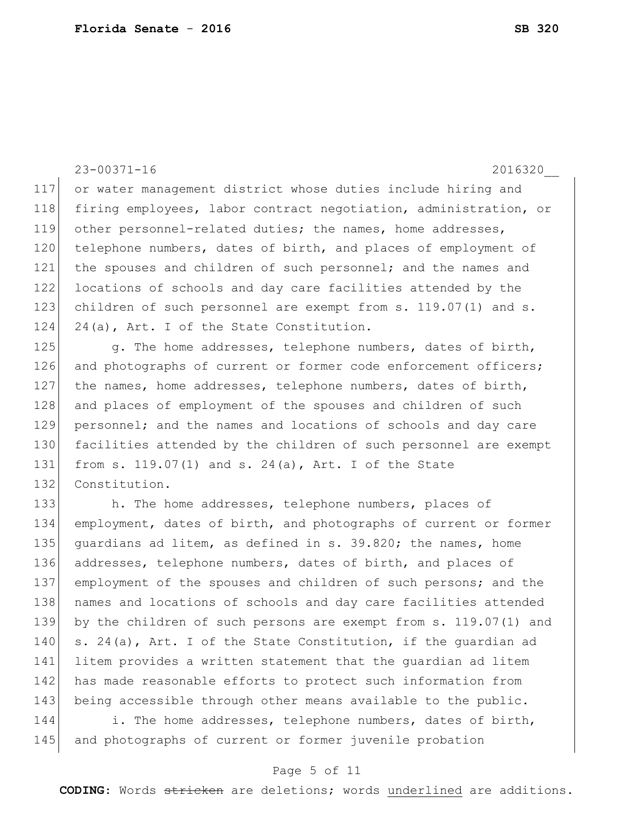23-00371-16 2016320\_\_ 117 or water management district whose duties include hiring and 118 | firing employees, labor contract negotiation, administration, or 119 other personnel-related duties; the names, home addresses, 120 telephone numbers, dates of birth, and places of employment of 121 the spouses and children of such personnel; and the names and 122 locations of schools and day care facilities attended by the 123 children of such personnel are exempt from s. 119.07(1) and s. 124 24(a), Art. I of the State Constitution. 125 g. The home addresses, telephone numbers, dates of birth, 126 and photographs of current or former code enforcement officers; 127 | the names, home addresses, telephone numbers, dates of birth, 128 and places of employment of the spouses and children of such 129 personnel; and the names and locations of schools and day care 130 facilities attended by the children of such personnel are exempt 131 from s. 119.07(1) and s. 24(a), Art. I of the State 132 Constitution. 133 h. The home addresses, telephone numbers, places of 134 employment, dates of birth, and photographs of current or former 135 guardians ad litem, as defined in s. 39.820; the names, home 136 addresses, telephone numbers, dates of birth, and places of 137 employment of the spouses and children of such persons; and the 138 | names and locations of schools and day care facilities attended 139 by the children of such persons are exempt from s. 119.07(1) and 140 s. 24(a), Art. I of the State Constitution, if the quardian ad 141 litem provides a written statement that the guardian ad litem 142 has made reasonable efforts to protect such information from 143 being accessible through other means available to the public. 144 i. The home addresses, telephone numbers, dates of birth,

145 and photographs of current or former juvenile probation

# Page 5 of 11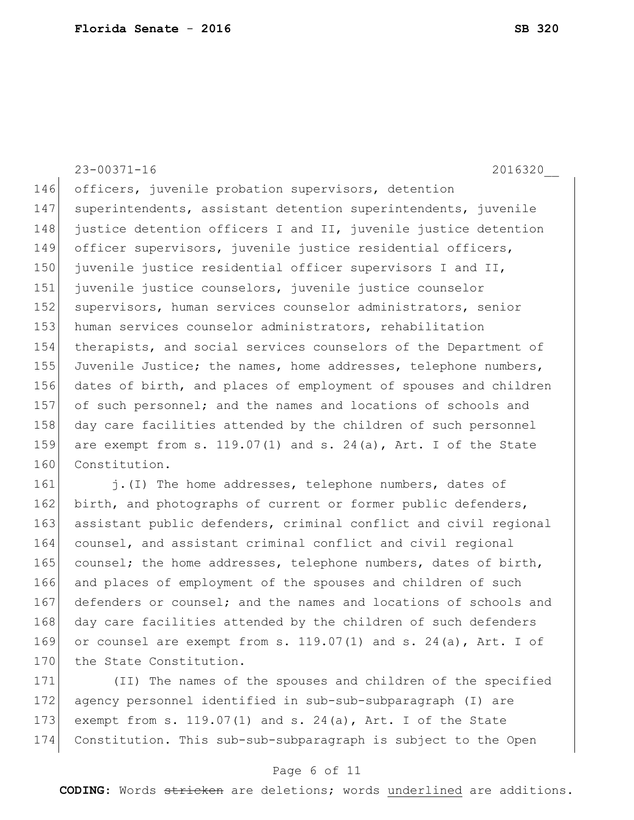|     | $23 - 00371 - 16$<br>2016320                                        |
|-----|---------------------------------------------------------------------|
| 146 | officers, juvenile probation supervisors, detention                 |
| 147 | superintendents, assistant detention superintendents, juvenile      |
| 148 | justice detention officers I and II, juvenile justice detention     |
| 149 | officer supervisors, juvenile justice residential officers,         |
| 150 | juvenile justice residential officer supervisors I and II,          |
| 151 | juvenile justice counselors, juvenile justice counselor             |
| 152 | supervisors, human services counselor administrators, senior        |
| 153 | human services counselor administrators, rehabilitation             |
| 154 | therapists, and social services counselors of the Department of     |
| 155 | Juvenile Justice; the names, home addresses, telephone numbers,     |
| 156 | dates of birth, and places of employment of spouses and children    |
| 157 | of such personnel; and the names and locations of schools and       |
| 158 | day care facilities attended by the children of such personnel      |
| 159 | are exempt from s. $119.07(1)$ and s. $24(a)$ , Art. I of the State |
| 160 | Constitution.                                                       |
| 161 | j. (I) The home addresses, telephone numbers, dates of              |
| 162 | birth, and photographs of current or former public defenders,       |
| 163 | accistant public defenders, criminal conflict and civil regional    |

163| assistant public defenders, criminal conflict and civil regional counsel, and assistant criminal conflict and civil regional 165 counsel; the home addresses, telephone numbers, dates of birth, 166 and places of employment of the spouses and children of such 167 defenders or counsel; and the names and locations of schools and 168 day care facilities attended by the children of such defenders 169 or counsel are exempt from s.  $119.07(1)$  and s.  $24(a)$ , Art. I of 170 the State Constitution.

 (II) The names of the spouses and children of the specified agency personnel identified in sub-sub-subparagraph (I) are exempt from s. 119.07(1) and s. 24(a), Art. I of the State Constitution. This sub-sub-subparagraph is subject to the Open

# Page 6 of 11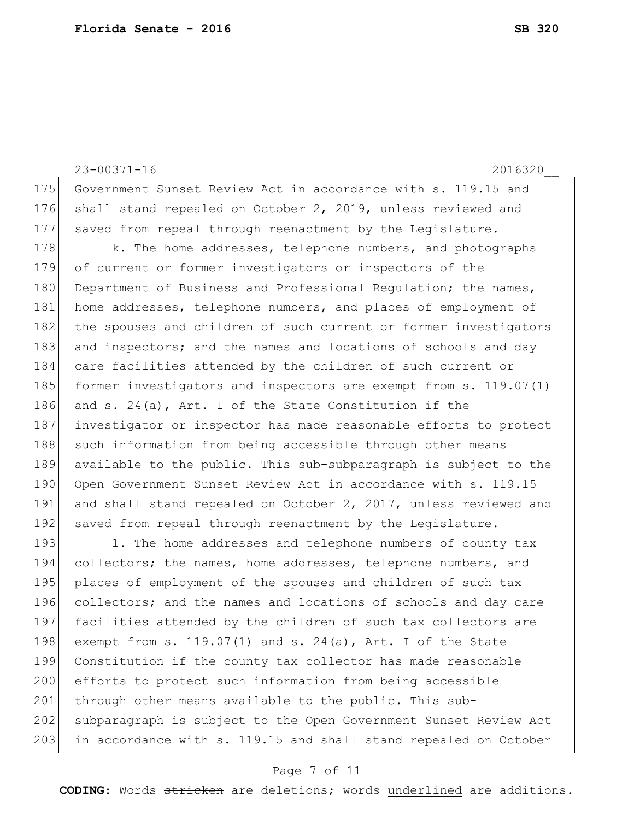23-00371-16 2016320\_\_ 175 Government Sunset Review Act in accordance with s. 119.15 and 176 shall stand repealed on October 2, 2019, unless reviewed and 177 saved from repeal through reenactment by the Legislature. 178 k. The home addresses, telephone numbers, and photographs 179 of current or former investigators or inspectors of the 180 Department of Business and Professional Requlation; the names, 181 home addresses, telephone numbers, and places of employment of 182 the spouses and children of such current or former investigators 183 and inspectors; and the names and locations of schools and day 184 care facilities attended by the children of such current or 185 former investigators and inspectors are exempt from s. 119.07(1) 186 and s. 24(a), Art. I of the State Constitution if the 187 investigator or inspector has made reasonable efforts to protect 188 such information from being accessible through other means 189 available to the public. This sub-subparagraph is subject to the 190 Open Government Sunset Review Act in accordance with s. 119.15 191 and shall stand repealed on October 2, 2017, unless reviewed and 192 saved from repeal through reenactment by the Legislature. 193 1. The home addresses and telephone numbers of county tax 194 collectors; the names, home addresses, telephone numbers, and 195 places of employment of the spouses and children of such tax 196 collectors; and the names and locations of schools and day care 197 facilities attended by the children of such tax collectors are 198 exempt from s. 119.07(1) and s. 24(a), Art. I of the State 199 Constitution if the county tax collector has made reasonable 200 efforts to protect such information from being accessible 201 through other means available to the public. This sub-202 subparagraph is subject to the Open Government Sunset Review Act 203 in accordance with s. 119.15 and shall stand repealed on October

#### Page 7 of 11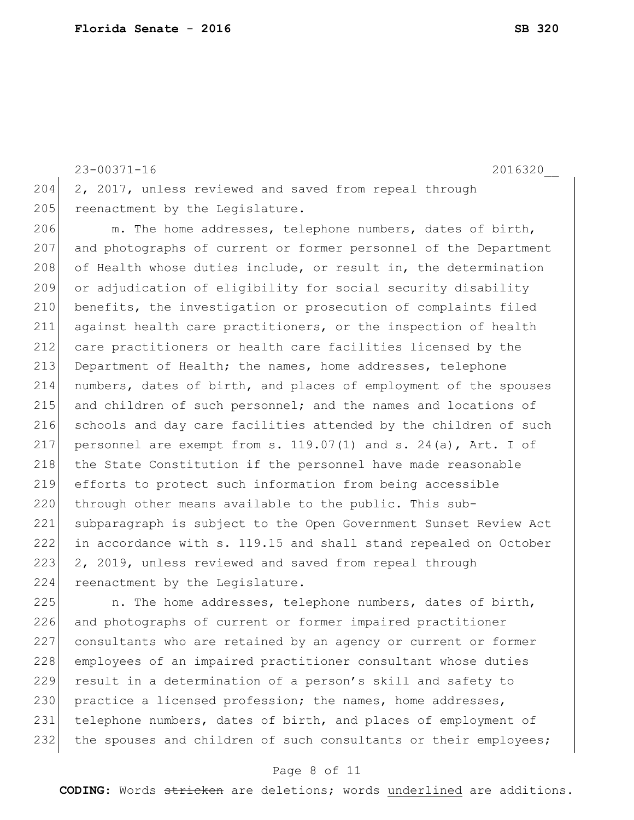23-00371-16 2016320\_\_ 204 2, 2017, unless reviewed and saved from repeal through 205 reenactment by the Legislature.

206 m. The home addresses, telephone numbers, dates of birth, 207 and photographs of current or former personnel of the Department 208 of Health whose duties include, or result in, the determination 209 or adjudication of eligibility for social security disability 210 benefits, the investigation or prosecution of complaints filed 211 against health care practitioners, or the inspection of health 212 care practitioners or health care facilities licensed by the 213 Department of Health; the names, home addresses, telephone 214 numbers, dates of birth, and places of employment of the spouses 215 and children of such personnel; and the names and locations of 216 schools and day care facilities attended by the children of such 217 personnel are exempt from s.  $119.07(1)$  and s.  $24(a)$ , Art. I of 218 the State Constitution if the personnel have made reasonable 219 efforts to protect such information from being accessible 220 through other means available to the public. This sub-221 subparagraph is subject to the Open Government Sunset Review Act 222 in accordance with s. 119.15 and shall stand repealed on October 223 2, 2019, unless reviewed and saved from repeal through 224 reenactment by the Legislature.

225 1. The home addresses, telephone numbers, dates of birth, 226 and photographs of current or former impaired practitioner 227 consultants who are retained by an agency or current or former 228 employees of an impaired practitioner consultant whose duties 229 result in a determination of a person's skill and safety to 230 practice a licensed profession; the names, home addresses, 231 telephone numbers, dates of birth, and places of employment of 232 the spouses and children of such consultants or their employees;

# Page 8 of 11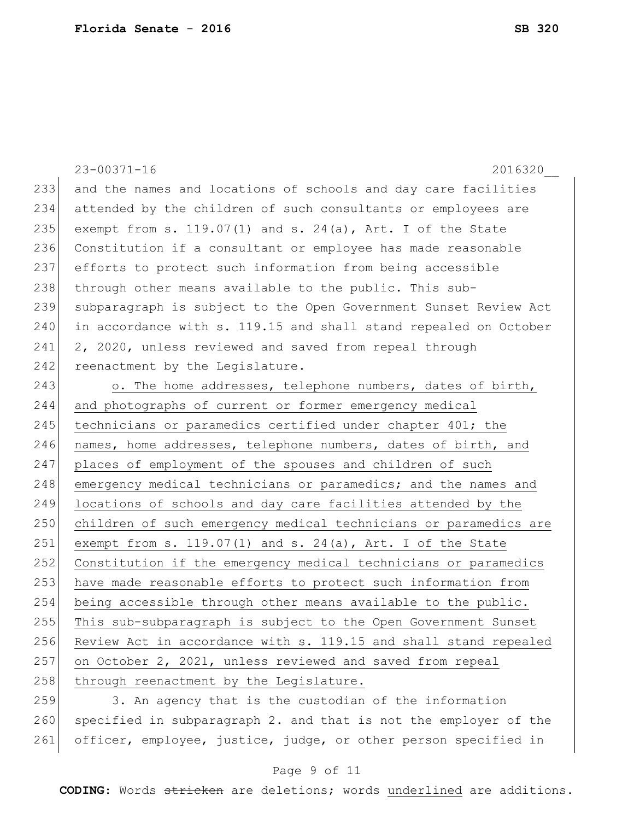|     | $23 - 00371 - 16$<br>2016320                                     |
|-----|------------------------------------------------------------------|
| 233 | and the names and locations of schools and day care facilities   |
| 234 | attended by the children of such consultants or employees are    |
| 235 | exempt from s. $119.07(1)$ and s. $24(a)$ , Art. I of the State  |
| 236 | Constitution if a consultant or employee has made reasonable     |
| 237 | efforts to protect such information from being accessible        |
| 238 | through other means available to the public. This sub-           |
| 239 | subparagraph is subject to the Open Government Sunset Review Act |
| 240 | in accordance with s. 119.15 and shall stand repealed on October |
| 241 | 2, 2020, unless reviewed and saved from repeal through           |
| 242 | reenactment by the Legislature.                                  |
| 243 | o. The home addresses, telephone numbers, dates of birth,        |
| 244 | and photographs of current or former emergency medical           |
| 245 | technicians or paramedics certified under chapter 401; the       |
| 246 | names, home addresses, telephone numbers, dates of birth, and    |
| 247 | places of employment of the spouses and children of such         |
| 248 | emergency medical technicians or paramedics; and the names and   |
| 249 | locations of schools and day care facilities attended by the     |
| 250 | children of such emergency medical technicians or paramedics are |
| 251 | exempt from s. $119.07(1)$ and s. $24(a)$ , Art. I of the State  |
| 252 | Constitution if the emergency medical technicians or paramedics  |
| 253 | have made reasonable efforts to protect such information from    |
| 254 | being accessible through other means available to the public.    |
| 255 | This sub-subparagraph is subject to the Open Government Sunset   |
| 256 | Review Act in accordance with s. 119.15 and shall stand repealed |
| 257 | on October 2, 2021, unless reviewed and saved from repeal        |
| 258 | through reenactment by the Legislature.                          |
| 259 | 3. An agency that is the custodian of the information            |

 specified in subparagraph 2. and that is not the employer of the 261 officer, employee, justice, judge, or other person specified in

# Page 9 of 11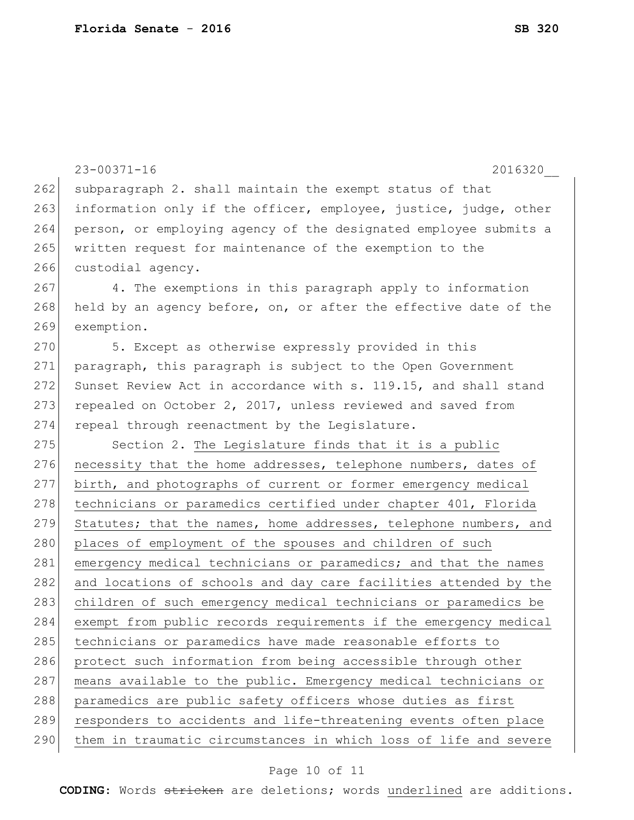|     | $23 - 00371 - 16$<br>2016320                                     |
|-----|------------------------------------------------------------------|
| 262 | subparagraph 2. shall maintain the exempt status of that         |
| 263 | information only if the officer, employee, justice, judge, other |
| 264 | person, or employing agency of the designated employee submits a |
| 265 | written request for maintenance of the exemption to the          |
| 266 | custodial agency.                                                |
| 267 | 4. The exemptions in this paragraph apply to information         |
| 268 | held by an agency before, on, or after the effective date of the |
| 269 | exemption.                                                       |
| 270 | 5. Except as otherwise expressly provided in this                |
| 271 | paragraph, this paragraph is subject to the Open Government      |
| 272 | Sunset Review Act in accordance with s. 119.15, and shall stand  |
| 273 | repealed on October 2, 2017, unless reviewed and saved from      |
| 274 | repeal through reenactment by the Legislature.                   |
| 275 | Section 2. The Legislature finds that it is a public             |
| 276 | necessity that the home addresses, telephone numbers, dates of   |
| 277 | birth, and photographs of current or former emergency medical    |
| 278 | technicians or paramedics certified under chapter 401, Florida   |
| 279 | Statutes; that the names, home addresses, telephone numbers, and |
| 280 | places of employment of the spouses and children of such         |
| 281 | emergency medical technicians or paramedics; and that the names  |
| 282 | and locations of schools and day care facilities attended by the |
| 283 | children of such emergency medical technicians or paramedics be  |
| 284 | exempt from public records requirements if the emergency medical |
| 285 | technicians or paramedics have made reasonable efforts to        |
| 286 | protect such information from being accessible through other     |
| 287 | means available to the public. Emergency medical technicians or  |
| 288 | paramedics are public safety officers whose duties as first      |
| 289 | responders to accidents and life-threatening events often place  |
| 290 | them in traumatic circumstances in which loss of life and severe |

# Page 10 of 11